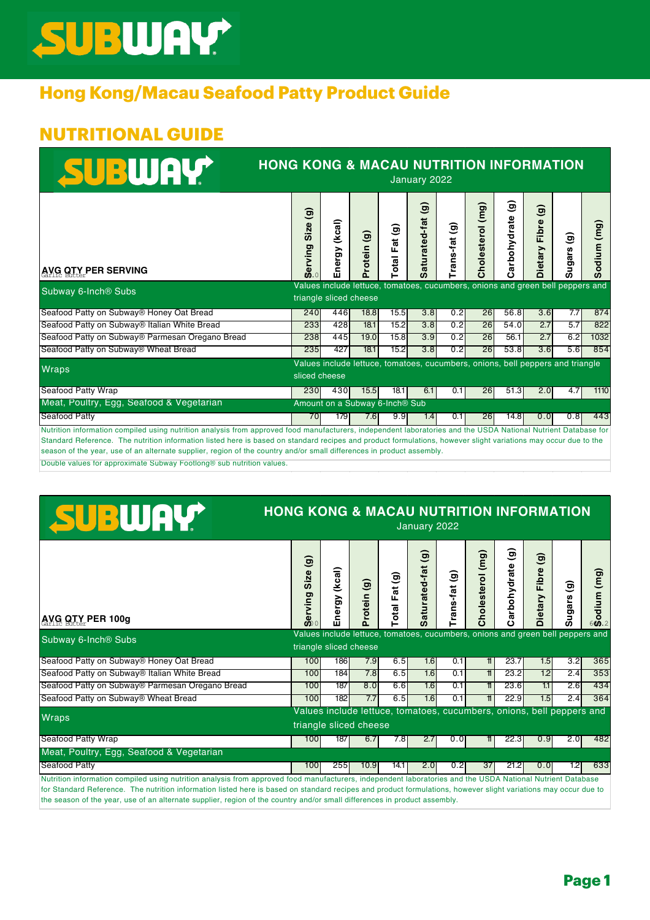# SUBWAY

## **Hong Kong/Macau Seafood Patty Product Guide**

### **NUTRITIONAL GUIDE**

| SUBWAY                                                                                                                                                                                                                                                                                                                            | <b>HONG KONG &amp; MACAU NUTRITION INFORMATION</b><br>January 2022 |                  |                                            |                                   |                                         |                |                                                                                |                        |                                                   |                    |                        |  |
|-----------------------------------------------------------------------------------------------------------------------------------------------------------------------------------------------------------------------------------------------------------------------------------------------------------------------------------|--------------------------------------------------------------------|------------------|--------------------------------------------|-----------------------------------|-----------------------------------------|----------------|--------------------------------------------------------------------------------|------------------------|---------------------------------------------------|--------------------|------------------------|--|
| <b>AVG OTY PER SERVING</b>                                                                                                                                                                                                                                                                                                        | $\widehat{\mathbf{e}}$<br>Size<br>rving<br>$\bar{\mathbf{g}}_{0}$  | (kcal)<br>Energy | $\widehat{\mathbf{e}}$<br>rotein<br>n.     | Fat (g)<br>$\overline{\text{at}}$ | $\widehat{\mathbf{e}}$<br>Saturated-fat | ම<br>Trans-fat | $\overline{(\mathsf{m}\,\mathsf{g})}$<br><b>Cholesterol</b>                    | ම<br>arbohydrate<br>c١ | $\widehat{\mathbf{e}}$<br>Fibre<br><b>Dietary</b> | ම<br><b>Sugars</b> | (mg)<br>ಕ<br><b>SD</b> |  |
| Subway 6-Inch <sup>®</sup> Subs                                                                                                                                                                                                                                                                                                   |                                                                    |                  | triangle sliced cheese                     |                                   |                                         |                | Values include lettuce, tomatoes, cucumbers, onions and green bell peppers and |                        |                                                   |                    |                        |  |
| Seafood Patty on Subway <sup>®</sup> Honey Oat Bread                                                                                                                                                                                                                                                                              | 240                                                                | 446              | 18.8                                       | 15.5                              | 3.8                                     | 0.2            | 26                                                                             | 56.8                   | 3.6                                               | 7.7                | 874                    |  |
| Seafood Patty on Subway® Italian White Bread                                                                                                                                                                                                                                                                                      | 233                                                                | 428              | 18.1                                       | 15.2                              | 3.8                                     | 0.2            | 26                                                                             | 54.0                   | 2.7                                               | 5.7                | 822                    |  |
| Seafood Patty on Subway® Parmesan Oregano Bread                                                                                                                                                                                                                                                                                   | 238                                                                | 445              | 19.0                                       | 15.8                              | 3.9                                     | 0.2            | 26                                                                             | 56.1                   | 2.7                                               | 6.2                | 1032                   |  |
| Seafood Patty on Subway <sup>®</sup> Wheat Bread                                                                                                                                                                                                                                                                                  | 235                                                                | 427              | 18.1                                       | 15.2                              | 3.8                                     | 0.2            | 26                                                                             | 53.8                   | 3.6                                               | 5.6                | 854                    |  |
| <b>Wraps</b>                                                                                                                                                                                                                                                                                                                      | sliced cheese                                                      |                  |                                            |                                   |                                         |                | Values include lettuce, tomatoes, cucumbers, onions, bell peppers and triangle |                        |                                                   |                    |                        |  |
| Seafood Patty Wrap                                                                                                                                                                                                                                                                                                                | 230                                                                | 430              | 15.5                                       | 18.1                              | 6.1                                     | 0.1            | 26                                                                             | 51.3                   | 2.0                                               | 4.7                | 1110                   |  |
| Meat, Poultry, Egg, Seafood & Vegetarian                                                                                                                                                                                                                                                                                          |                                                                    |                  | Amount on a Subway 6-Inch <sup>®</sup> Sub |                                   |                                         |                |                                                                                |                        |                                                   |                    |                        |  |
| <b>Seafood Patty</b>                                                                                                                                                                                                                                                                                                              | 70                                                                 | 179              | 7.6                                        | 9.9                               | 1.4                                     | 0.1            | 26                                                                             | 14.8                   | 0.0                                               | 0.8                | 443                    |  |
| Nutrition information compiled using nutrition analysis from approved food manufacturers, independent laboratories and the USDA National Nutrient Database for<br>Standard Reference. The putrition information lighed bere is beend on etapdard reginee and product formulations, bewever elight veristions may coour due to the |                                                                    |                  |                                            |                                   |                                         |                |                                                                                |                        |                                                   |                    |                        |  |

Standard Reference. The nutrition information listed here is based on standard recipes and product formulations, however slight variations may occur due to the season of the year, use of an alternate supplier, region of the country and/or small differences in product assembly.

Double values for approximate Subway Footlong® sub nutrition values.

| SUBWAY                                                                                                                                                                                                                                                                                                                                                                                                                                                     | <b>HONG KONG &amp; MACAU NUTRITION INFORMATION</b><br>January 2022                                       |                  |                                                                                                 |                            |                                         |               |                  |                  |                                            |             |                       |
|------------------------------------------------------------------------------------------------------------------------------------------------------------------------------------------------------------------------------------------------------------------------------------------------------------------------------------------------------------------------------------------------------------------------------------------------------------|----------------------------------------------------------------------------------------------------------|------------------|-------------------------------------------------------------------------------------------------|----------------------------|-----------------------------------------|---------------|------------------|------------------|--------------------------------------------|-------------|-----------------------|
| <b>AVG OTY PER 100g</b>                                                                                                                                                                                                                                                                                                                                                                                                                                    | $\widehat{\mathbf{e}}$<br>Size<br>erving<br>$\bar{a}$                                                    | (kcal)<br>Energy | $\widehat{\mathbf{e}}$<br>rotein                                                                | at (g)<br>ш<br><b>leto</b> | $\widehat{\mathbf{e}}$<br>Saturated-fat | ම<br>rans-fat | Cholesterol (mg) | ම<br>arbohydrate | $\widehat{\mathbf{e}}$<br>Fibre<br>Dietary | ම<br>Sugars | (mg)<br>odiu<br>600.2 |
| Subway 6-Inch <sup>®</sup> Subs                                                                                                                                                                                                                                                                                                                                                                                                                            | Values include lettuce, tomatoes, cucumbers, onions and green bell peppers and<br>triangle sliced cheese |                  |                                                                                                 |                            |                                         |               |                  |                  |                                            |             |                       |
| Seafood Patty on Subway® Honey Oat Bread                                                                                                                                                                                                                                                                                                                                                                                                                   | 100                                                                                                      | 186              | 7.9                                                                                             | 6.5                        | 1.6                                     | 0.1           | 11               | 23.7             | 1.5                                        | 3.2         | 365                   |
| Seafood Patty on Subway® Italian White Bread                                                                                                                                                                                                                                                                                                                                                                                                               | 100                                                                                                      | 184              | 7.8                                                                                             | 6.5                        | 1.6                                     | 0.1           | 11               | 23.2             | 12                                         | 2.4         | 353                   |
| Seafood Patty on Subway® Parmesan Oregano Bread                                                                                                                                                                                                                                                                                                                                                                                                            | 100                                                                                                      | 187              | 8.0                                                                                             | 6.6                        | 1.6                                     | 0.1           | 11               | 23.6             | 11                                         | 2.6         | 434                   |
| Seafood Patty on Subway® Wheat Bread                                                                                                                                                                                                                                                                                                                                                                                                                       | 100                                                                                                      | 182              | 7.7                                                                                             | 6.5                        | 1.6                                     | 0.1           | $\mathbf{t}$     | 22.9             | 1.5                                        | 2.4         | 364                   |
| <b>Wraps</b>                                                                                                                                                                                                                                                                                                                                                                                                                                               |                                                                                                          |                  | Values include lettuce, tomatoes, cucumbers, onions, bell peppers and<br>triangle sliced cheese |                            |                                         |               |                  |                  |                                            |             |                       |
| Seafood Patty Wrap                                                                                                                                                                                                                                                                                                                                                                                                                                         | 100                                                                                                      | 187              | 6.7                                                                                             | 7.8                        | 2.7                                     | 0.0           | $\uparrow$       | 22.3             | 0.9                                        | 2.0         | 482                   |
| Meat, Poultry, Egg, Seafood & Vegetarian                                                                                                                                                                                                                                                                                                                                                                                                                   |                                                                                                          |                  |                                                                                                 |                            |                                         |               |                  |                  |                                            |             |                       |
| Seafood Patty                                                                                                                                                                                                                                                                                                                                                                                                                                              | 100                                                                                                      | 255              | 10.9                                                                                            | 14.1                       | 2.0                                     | 0.2           | 37               | 21.2             | 0.0                                        | 1.2         | 633                   |
| Nutrition information compiled using nutrition analysis from approved food manufacturers, independent laboratories and the USDA National Nutrient Database<br>for Standard Reference. The nutrition information listed here is based on standard recipes and product formulations, however slight variations may occur due to<br>the season of the year, use of an alternate supplier, region of the country and/or small differences in product assembly. |                                                                                                          |                  |                                                                                                 |                            |                                         |               |                  |                  |                                            |             |                       |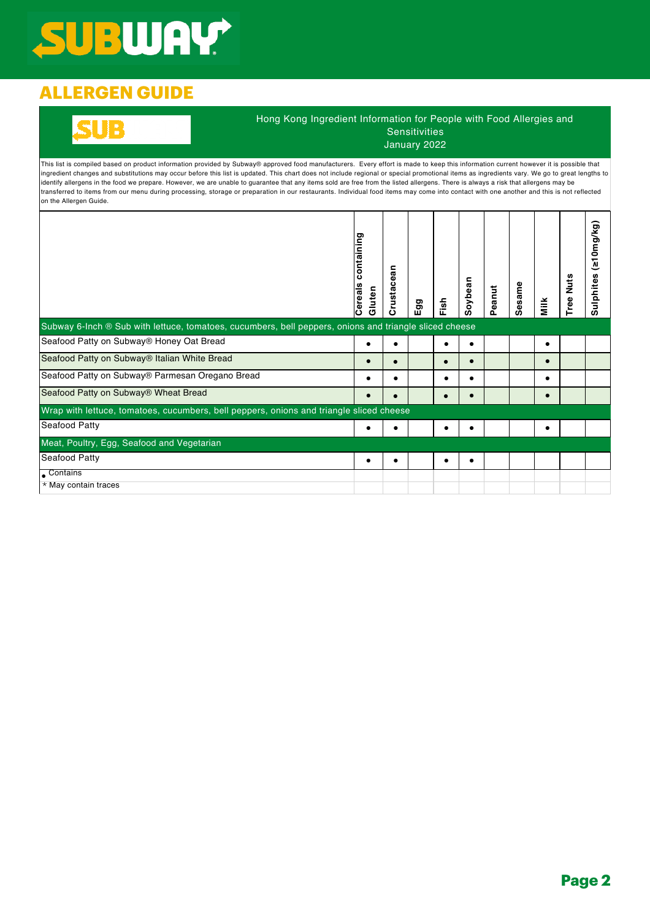## SUBWAY

## **ALLERGEN GUIDE**

### Hong Kong Ingredient Information for People with Food Allergies and Sensitivities January 2022

This list is compiled based on product information provided by Subway® approved food manufacturers. Every effort is made to keep this information current however it is possible that ingredient changes and substitutions may occur before this list is updated. This chart does not include regional or special promotional items as ingredients vary. We go to great lengths to identify allergens in the food we prepare. However, we are unable to guarantee that any items sold are free from the listed allergens. There is always a risk that allergens may be transferred to items from our menu during processing, storage or preparation in our restaurants. Individual food items may come into contact with one another and this is not reflected on the Allergen Guide.

| Subway 6-Inch ® Sub with lettuce, tomatoes, cucumbers, bell peppers, onions and triangle sliced cheese | containing<br>Cereals<br>Gluten | an<br>Crustace | ත<br>ΞÖ | Fish | Soybean    | Peanut | Sesame | Milk      | Nuts<br>Tree | eu0mg/kg)<br>n<br>Sulphite |
|--------------------------------------------------------------------------------------------------------|---------------------------------|----------------|---------|------|------------|--------|--------|-----------|--------------|----------------------------|
| Seafood Patty on Subway® Honey Oat Bread                                                               |                                 |                |         |      | ٠          |        |        | $\bullet$ |              |                            |
| Seafood Patty on Subway® Italian White Bread                                                           |                                 |                |         |      | $\bullet$  |        |        | $\bullet$ |              |                            |
| Seafood Patty on Subway® Parmesan Oregano Bread                                                        |                                 |                |         |      |            |        |        | ٠         |              |                            |
| Seafood Patty on Subway® Wheat Bread                                                                   |                                 | $\bullet$      |         |      | $\epsilon$ |        |        | $\bullet$ |              |                            |
| Wrap with lettuce, tomatoes, cucumbers, bell peppers, onions and triangle sliced cheese                |                                 |                |         |      |            |        |        |           |              |                            |
| Seafood Patty                                                                                          |                                 |                |         |      |            |        |        |           |              |                            |
| Meat, Poultry, Egg, Seafood and Vegetarian                                                             |                                 |                |         |      |            |        |        |           |              |                            |
| Seafood Patty                                                                                          | ٠                               | ٠              |         |      | ٠          |        |        |           |              |                            |
| Contains                                                                                               |                                 |                |         |      |            |        |        |           |              |                            |
| * May contain traces                                                                                   |                                 |                |         |      |            |        |        |           |              |                            |